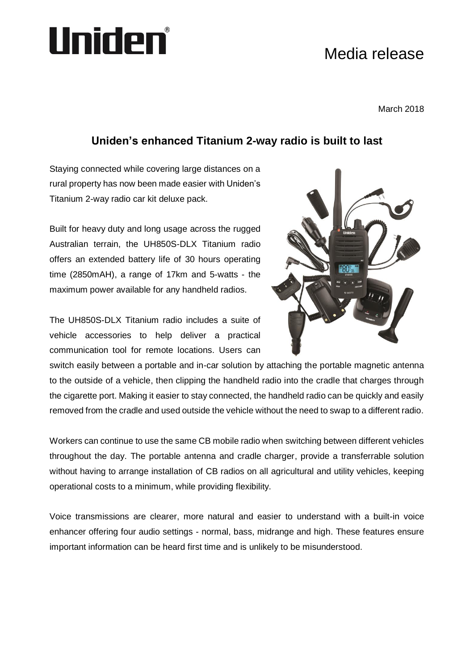# Uniden®

## Media release

March 2018

### **Uniden's enhanced Titanium 2-way radio is built to last**

Staying connected while covering large distances on a rural property has now been made easier with Uniden's Titanium 2-way radio car kit deluxe pack.

Built for heavy duty and long usage across the rugged Australian terrain, the UH850S-DLX Titanium radio offers an extended battery life of 30 hours operating time (2850mAH), a range of 17km and 5-watts - the maximum power available for any handheld radios.

The UH850S-DLX Titanium radio includes a suite of vehicle accessories to help deliver a practical communication tool for remote locations. Users can



switch easily between a portable and in-car solution by attaching the portable magnetic antenna to the outside of a vehicle, then clipping the handheld radio into the cradle that charges through the cigarette port. Making it easier to stay connected, the handheld radio can be quickly and easily removed from the cradle and used outside the vehicle without the need to swap to a different radio.

Workers can continue to use the same CB mobile radio when switching between different vehicles throughout the day. The portable antenna and cradle charger, provide a transferrable solution without having to arrange installation of CB radios on all agricultural and utility vehicles, keeping operational costs to a minimum, while providing flexibility.

Voice transmissions are clearer, more natural and easier to understand with a built-in voice enhancer offering four audio settings - normal, bass, midrange and high. These features ensure important information can be heard first time and is unlikely to be misunderstood.